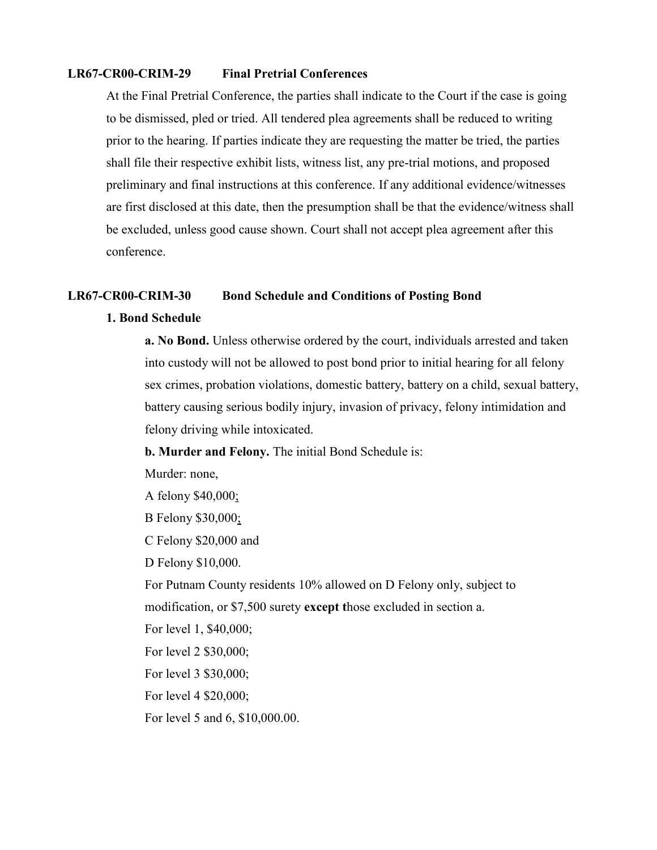# **LR67-CR00-CRIM-29 Final Pretrial Conferences**

At the Final Pretrial Conference, the parties shall indicate to the Court if the case is going to be dismissed, pled or tried. All tendered plea agreements shall be reduced to writing prior to the hearing. If parties indicate they are requesting the matter be tried, the parties shall file their respective exhibit lists, witness list, any pre-trial motions, and proposed preliminary and final instructions at this conference. If any additional evidence/witnesses are first disclosed at this date, then the presumption shall be that the evidence/witness shall be excluded, unless good cause shown. Court shall not accept plea agreement after this conference.

#### **LR67-CR00-CRIM-30 Bond Schedule and Conditions of Posting Bond**

## **1. Bond Schedule**

**a. No Bond.** Unless otherwise ordered by the court, individuals arrested and taken into custody will not be allowed to post bond prior to initial hearing for all felony sex crimes, probation violations, domestic battery, battery on a child, sexual battery, battery causing serious bodily injury, invasion of privacy, felony intimidation and felony driving while intoxicated.

**b. Murder and Felony.** The initial Bond Schedule is:

Murder: none,

A felony \$40,000;

B Felony \$30,000;

C Felony \$20,000 and

D Felony \$10,000.

For Putnam County residents 10% allowed on D Felony only, subject to modification, or \$7,500 surety **except t**hose excluded in section a.

For level 1, \$40,000;

For level 2 \$30,000;

For level 3 \$30,000;

For level 4 \$20,000;

For level 5 and 6, \$10,000.00.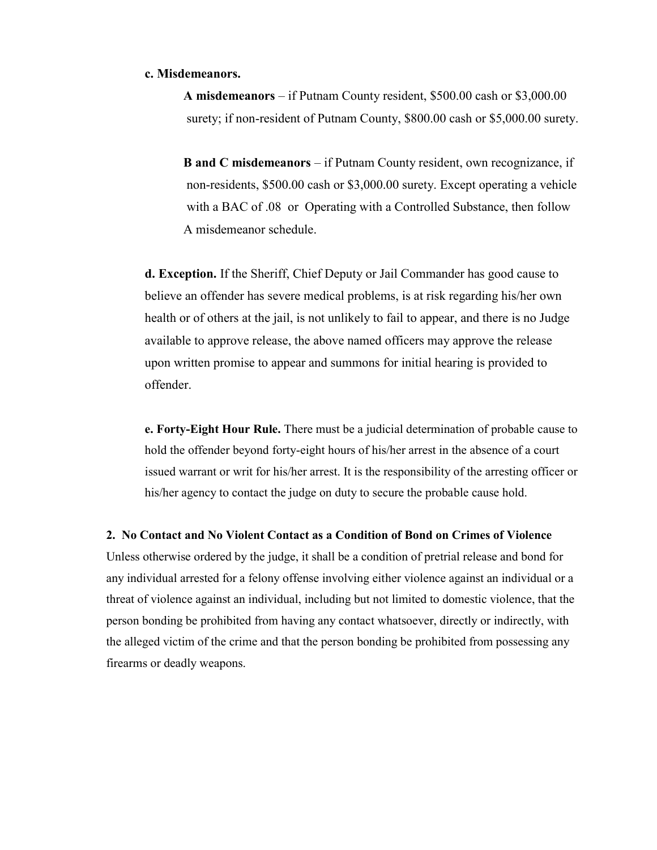## **c. Misdemeanors.**

**A misdemeanors** – if Putnam County resident, \$500.00 cash or \$3,000.00 surety; if non-resident of Putnam County, \$800.00 cash or \$5,000.00 surety.

**B and C misdemeanors** – if Putnam County resident, own recognizance, if non-residents, \$500.00 cash or \$3,000.00 surety. Except operating a vehicle with a BAC of .08 or Operating with a Controlled Substance, then follow A misdemeanor schedule.

**d. Exception.** If the Sheriff, Chief Deputy or Jail Commander has good cause to believe an offender has severe medical problems, is at risk regarding his/her own health or of others at the jail, is not unlikely to fail to appear, and there is no Judge available to approve release, the above named officers may approve the release upon written promise to appear and summons for initial hearing is provided to offender.

**e. Forty-Eight Hour Rule.** There must be a judicial determination of probable cause to hold the offender beyond forty-eight hours of his/her arrest in the absence of a court issued warrant or writ for his/her arrest. It is the responsibility of the arresting officer or his/her agency to contact the judge on duty to secure the probable cause hold.

#### **2. No Contact and No Violent Contact as a Condition of Bond on Crimes of Violence**

Unless otherwise ordered by the judge, it shall be a condition of pretrial release and bond for any individual arrested for a felony offense involving either violence against an individual or a threat of violence against an individual, including but not limited to domestic violence, that the person bonding be prohibited from having any contact whatsoever, directly or indirectly, with the alleged victim of the crime and that the person bonding be prohibited from possessing any firearms or deadly weapons.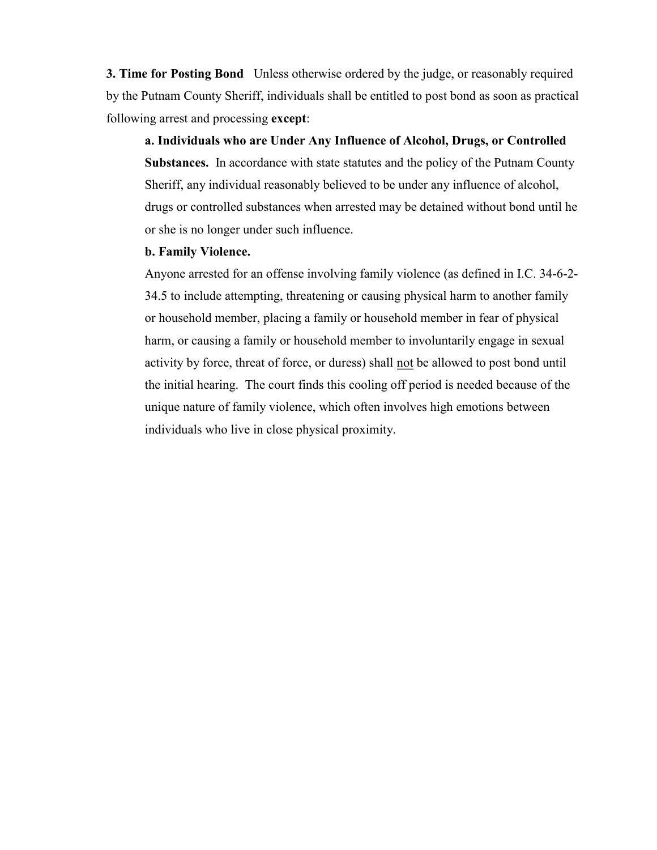**3. Time for Posting Bond** Unless otherwise ordered by the judge, or reasonably required by the Putnam County Sheriff, individuals shall be entitled to post bond as soon as practical following arrest and processing **except**:

**a. Individuals who are Under Any Influence of Alcohol, Drugs, or Controlled Substances.** In accordance with state statutes and the policy of the Putnam County Sheriff, any individual reasonably believed to be under any influence of alcohol, drugs or controlled substances when arrested may be detained without bond until he or she is no longer under such influence.

# **b. Family Violence.**

Anyone arrested for an offense involving family violence (as defined in I.C. 34-6-2- 34.5 to include attempting, threatening or causing physical harm to another family or household member, placing a family or household member in fear of physical harm, or causing a family or household member to involuntarily engage in sexual activity by force, threat of force, or duress) shall not be allowed to post bond until the initial hearing. The court finds this cooling off period is needed because of the unique nature of family violence, which often involves high emotions between individuals who live in close physical proximity.